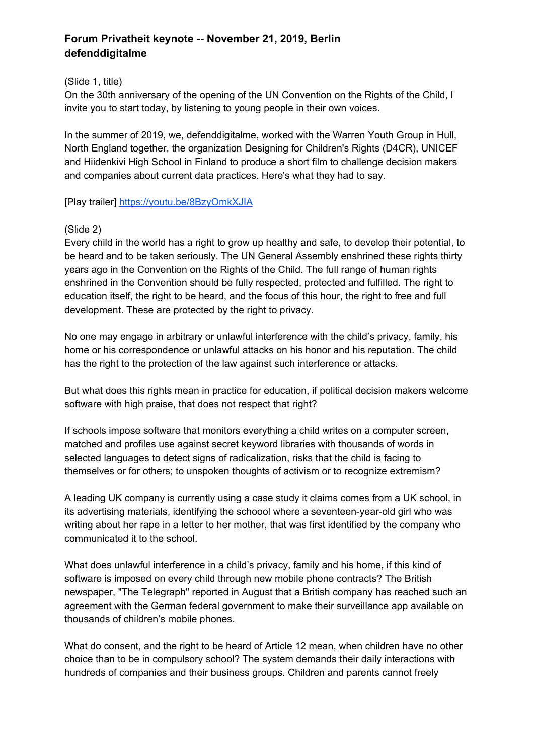# **Forum Privatheit keynote -- November 21, 2019, Berlin defenddigitalme**

(Slide 1, title)

On the 30th anniversary of the opening of the UN Convention on the Rights of the Child, I invite you to start today, by listening to young people in their own voices.

In the summer of 2019, we, defenddigitalme, worked with the Warren Youth Group in Hull, North England together, the organization Designing for Children's Rights (D4CR), UNICEF and Hiidenkivi High School in Finland to produce a short film to challenge decision makers and companies about current data practices. Here's what they had to say.

[Play trailer] [https://youtu.be/8BzyOmkXJIA](https://translate.google.com/translate?hl=en&prev=_t&sl=auto&tl=en&u=https://youtu.be/8BzyOmkXJIA)

# (Slide 2)

Every child in the world has a right to grow up healthy and safe, to develop their potential, to be heard and to be taken seriously. The UN General Assembly enshrined these rights thirty years ago in the Convention on the Rights of the Child. The full range of human rights enshrined in the Convention should be fully respected, protected and fulfilled. The right to education itself, the right to be heard, and the focus of this hour, the right to free and full development. These are protected by the right to privacy.

No one may engage in arbitrary or unlawful interference with the child's privacy, family, his home or his correspondence or unlawful attacks on his honor and his reputation. The child has the right to the protection of the law against such interference or attacks.

But what does this rights mean in practice for education, if political decision makers welcome software with high praise, that does not respect that right?

If schools impose software that monitors everything a child writes on a computer screen, matched and profiles use against secret keyword libraries with thousands of words in selected languages to detect signs of radicalization, risks that the child is facing to themselves or for others; to unspoken thoughts of activism or to recognize extremism?

A leading UK company is currently using a case study it claims comes from a UK school, in its advertising materials, identifying the schoool where a seventeen-year-old girl who was writing about her rape in a letter to her mother, that was first identified by the company who communicated it to the school.

What does unlawful interference in a child's privacy, family and his home, if this kind of software is imposed on every child through new mobile phone contracts? The British newspaper, "The Telegraph" reported in August that a British company has reached such an agreement with the German federal government to make their surveillance app available on thousands of children's mobile phones.

What do consent, and the right to be heard of Article 12 mean, when children have no other choice than to be in compulsory school? The system demands their daily interactions with hundreds of companies and their business groups. Children and parents cannot freely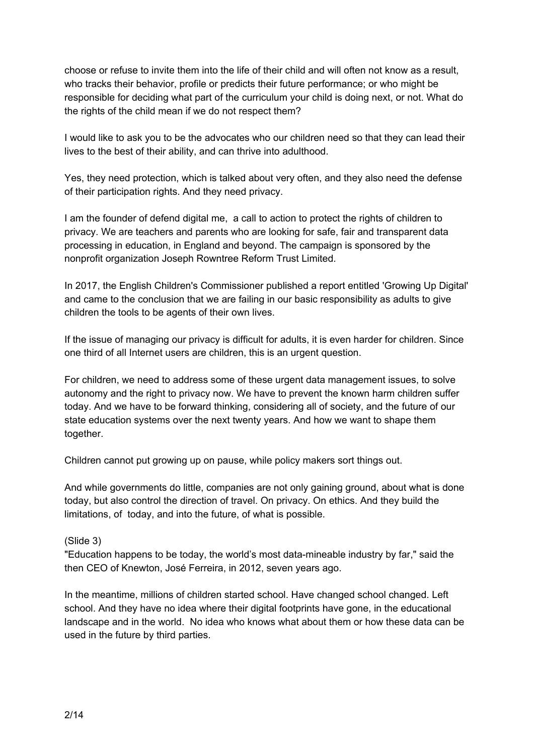choose or refuse to invite them into the life of their child and will often not know as a result, who tracks their behavior, profile or predicts their future performance; or who might be responsible for deciding what part of the curriculum your child is doing next, or not. What do the rights of the child mean if we do not respect them?

I would like to ask you to be the advocates who our children need so that they can lead their lives to the best of their ability, and can thrive into adulthood.

Yes, they need protection, which is talked about very often, and they also need the defense of their participation rights. And they need privacy.

I am the founder of defend digital me, a call to action to protect the rights of children to privacy. We are teachers and parents who are looking for safe, fair and transparent data processing in education, in England and beyond. The campaign is sponsored by the nonprofit organization Joseph Rowntree Reform Trust Limited.

In 2017, the English Children's Commissioner published a report entitled 'Growing Up Digital' and came to the conclusion that we are failing in our basic responsibility as adults to give children the tools to be agents of their own lives.

If the issue of managing our privacy is difficult for adults, it is even harder for children. Since one third of all Internet users are children, this is an urgent question.

For children, we need to address some of these urgent data management issues, to solve autonomy and the right to privacy now. We have to prevent the known harm children suffer today. And we have to be forward thinking, considering all of society, and the future of our state education systems over the next twenty years. And how we want to shape them together.

Children cannot put growing up on pause, while policy makers sort things out.

And while governments do little, companies are not only gaining ground, about what is done today, but also control the direction of travel. On privacy. On ethics. And they build the limitations, of today, and into the future, of what is possible.

(Slide 3)

"Education happens to be today, the world's most data-mineable industry by far," said the then CEO of Knewton, José Ferreira, in 2012, seven years ago.

In the meantime, millions of children started school. Have changed school changed. Left school. And they have no idea where their digital footprints have gone, in the educational landscape and in the world. No idea who knows what about them or how these data can be used in the future by third parties.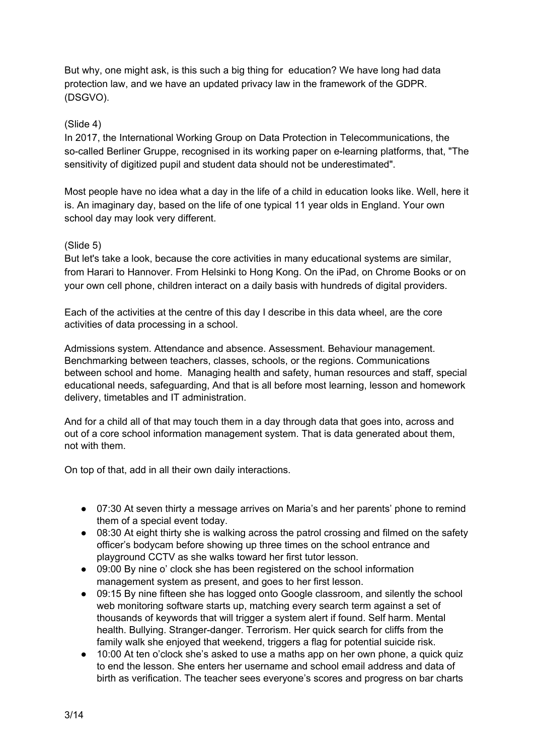But why, one might ask, is this such a big thing for education? We have long had data protection law, and we have an updated privacy law in the framework of the GDPR. (DSGVO).

# (Slide 4)

In 2017, the International Working Group on Data Protection in Telecommunications, the so-called Berliner Gruppe, recognised in its working paper on e-learning platforms, that, "The sensitivity of digitized pupil and student data should not be underestimated".

Most people have no idea what a day in the life of a child in education looks like. Well, here it is. An imaginary day, based on the life of one typical 11 year olds in England. Your own school day may look very different.

### (Slide 5)

But let's take a look, because the core activities in many educational systems are similar, from Harari to Hannover. From Helsinki to Hong Kong. On the iPad, on Chrome Books or on your own cell phone, children interact on a daily basis with hundreds of digital providers.

Each of the activities at the centre of this day I describe in this data wheel, are the core activities of data processing in a school.

Admissions system. Attendance and absence. Assessment. Behaviour management. Benchmarking between teachers, classes, schools, or the regions. Communications between school and home. Managing health and safety, human resources and staff, special educational needs, safeguarding, And that is all before most learning, lesson and homework delivery, timetables and IT administration.

And for a child all of that may touch them in a day through data that goes into, across and out of a core school information management system. That is data generated about them, not with them.

On top of that, add in all their own daily interactions.

- 07:30 At seven thirty a message arrives on Maria's and her parents' phone to remind them of a special event today.
- 08:30 At eight thirty she is walking across the patrol crossing and filmed on the safety officer's bodycam before showing up three times on the school entrance and playground CCTV as she walks toward her first tutor lesson.
- 09:00 By nine o' clock she has been registered on the school information management system as present, and goes to her first lesson.
- 09:15 By nine fifteen she has logged onto Google classroom, and silently the school web monitoring software starts up, matching every search term against a set of thousands of keywords that will trigger a system alert if found. Self harm. Mental health. Bullying. Stranger-danger. Terrorism. Her quick search for cliffs from the family walk she enjoyed that weekend, triggers a flag for potential suicide risk.
- 10:00 At ten o'clock she's asked to use a maths app on her own phone, a quick quiz to end the lesson. She enters her username and school email address and data of birth as verification. The teacher sees everyone's scores and progress on bar charts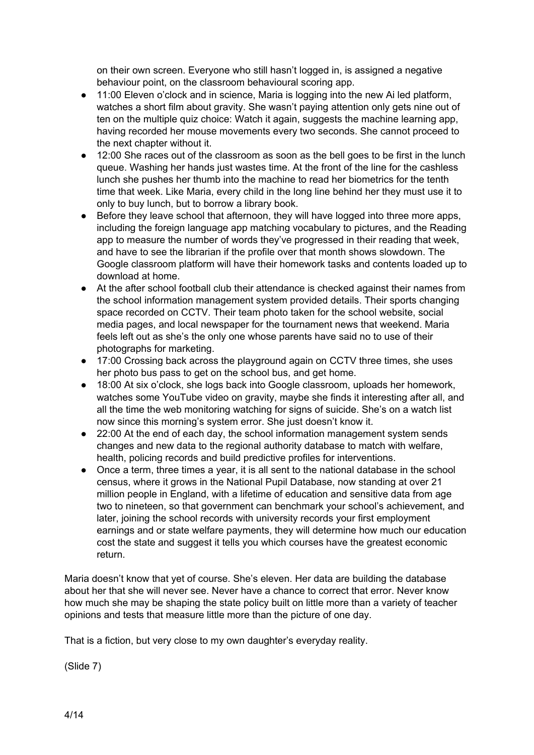on their own screen. Everyone who still hasn't logged in, is assigned a negative behaviour point, on the classroom behavioural scoring app.

- 11:00 Eleven o'clock and in science, Maria is logging into the new Ai led platform, watches a short film about gravity. She wasn't paying attention only gets nine out of ten on the multiple quiz choice: Watch it again, suggests the machine learning app, having recorded her mouse movements every two seconds. She cannot proceed to the next chapter without it.
- 12:00 She races out of the classroom as soon as the bell goes to be first in the lunch queue. Washing her hands just wastes time. At the front of the line for the cashless lunch she pushes her thumb into the machine to read her biometrics for the tenth time that week. Like Maria, every child in the long line behind her they must use it to only to buy lunch, but to borrow a library book.
- Before they leave school that afternoon, they will have logged into three more apps, including the foreign language app matching vocabulary to pictures, and the Reading app to measure the number of words they've progressed in their reading that week, and have to see the librarian if the profile over that month shows slowdown. The Google classroom platform will have their homework tasks and contents loaded up to download at home.
- At the after school football club their attendance is checked against their names from the school information management system provided details. Their sports changing space recorded on CCTV. Their team photo taken for the school website, social media pages, and local newspaper for the tournament news that weekend. Maria feels left out as she's the only one whose parents have said no to use of their photographs for marketing.
- 17:00 Crossing back across the playground again on CCTV three times, she uses her photo bus pass to get on the school bus, and get home.
- 18:00 At six o'clock, she logs back into Google classroom, uploads her homework, watches some YouTube video on gravity, maybe she finds it interesting after all, and all the time the web monitoring watching for signs of suicide. She's on a watch list now since this morning's system error. She just doesn't know it.
- 22:00 At the end of each day, the school information management system sends changes and new data to the regional authority database to match with welfare, health, policing records and build predictive profiles for interventions.
- Once a term, three times a year, it is all sent to the national database in the school census, where it grows in the National Pupil Database, now standing at over 21 million people in England, with a lifetime of education and sensitive data from age two to nineteen, so that government can benchmark your school's achievement, and later, joining the school records with university records your first employment earnings and or state welfare payments, they will determine how much our education cost the state and suggest it tells you which courses have the greatest economic return.

Maria doesn't know that yet of course. She's eleven. Her data are building the database about her that she will never see. Never have a chance to correct that error. Never know how much she may be shaping the state policy built on little more than a variety of teacher opinions and tests that measure little more than the picture of one day.

That is a fiction, but very close to my own daughter's everyday reality.

(Slide 7)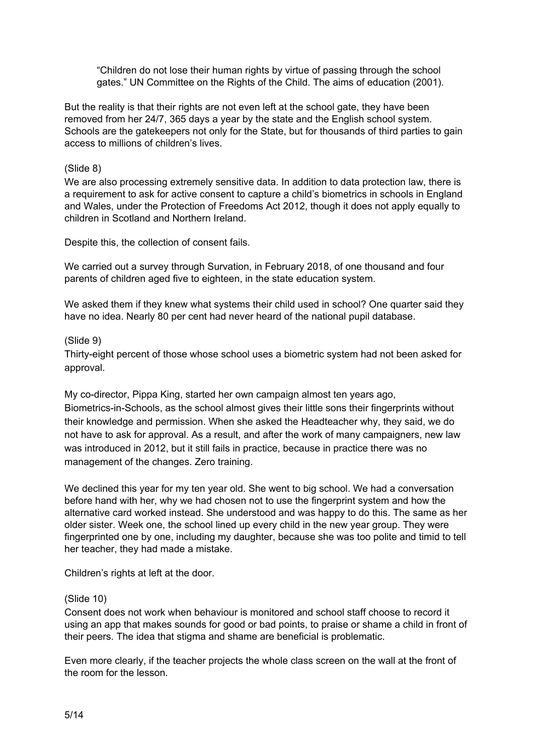"Children do not lose their human rights by virtue of passing through the school gates." UN Committee on the Rights of the Child. The aims of education (2001).

But the reality is that their rights are not even left at the school gate, they have been removed from her 24/7, 365 days a year by the state and the English school system. Schools are the gatekeepers not only for the State, but for thousands of third parties to gain access to millions of children's lives.

### (Slide 8)

We are also processing extremely sensitive data. In addition to data protection law, there is a requirement to ask for active consent to capture a child's biometrics in schools in England and Wales, under the Protection of Freedoms Act 2012, though it does not apply equally to children in Scotland and Northern Ireland.

Despite this, the collection of consent fails.

We carried out a survey through Survation, in February 2018, of one thousand and four parents of children aged five to eighteen, in the state education system.

We asked them if they knew what systems their child used in school? One quarter said they have no idea. Nearly 80 per cent had never heard of the national pupil database.

### (Slide 9)

Thirty-eight percent of those whose school uses a biometric system had not been asked for approval.

My co-director, Pippa King, started her own campaign almost ten years ago, Biometrics-in-Schools, as the school almost gives their little sons their fingerprints without their knowledge and permission. When she asked the Headteacher why, they said, we do not have to ask for approval. As a result, and after the work of many campaigners, new law was introduced in 2012, but it still fails in practice, because in practice there was no management of the changes. Zero training.

We declined this year for my ten year old. She went to big school. We had a conversation before hand with her, why we had chosen not to use the fingerprint system and how the alternative card worked instead. She understood and was happy to do this. The same as her older sister. Week one, the school lined up every child in the new year group. They were fingerprinted one by one, including my daughter, because she was too polite and timid to tell her teacher, they had made a mistake.

Children's rights at left at the door.

#### (Slide 10)

Consent does not work when behaviour is monitored and school staff choose to record it using an app that makes sounds for good or bad points, to praise or shame a child in front of their peers. The idea that stigma and shame are beneficial is problematic.

Even more clearly, if the teacher projects the whole class screen on the wall at the front of the room for the lesson.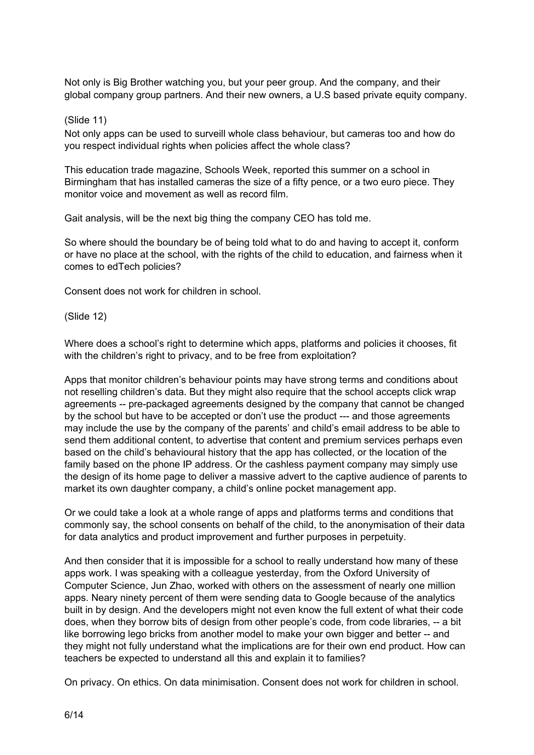Not only is Big Brother watching you, but your peer group. And the company, and their global company group partners. And their new owners, a U.S based private equity company.

#### (Slide 11)

Not only apps can be used to surveill whole class behaviour, but cameras too and how do you respect individual rights when policies affect the whole class?

This education trade magazine, Schools Week, reported this summer on a school in Birmingham that has installed cameras the size of a fifty pence, or a two euro piece. They monitor voice and movement as well as record film.

Gait analysis, will be the next big thing the company CEO has told me.

So where should the boundary be of being told what to do and having to accept it, conform or have no place at the school, with the rights of the child to education, and fairness when it comes to edTech policies?

Consent does not work for children in school.

(Slide 12)

Where does a school's right to determine which apps, platforms and policies it chooses, fit with the children's right to privacy, and to be free from exploitation?

Apps that monitor children's behaviour points may have strong terms and conditions about not reselling children's data. But they might also require that the school accepts click wrap agreements -- pre-packaged agreements designed by the company that cannot be changed by the school but have to be accepted or don't use the product --- and those agreements may include the use by the company of the parents' and child's email address to be able to send them additional content, to advertise that content and premium services perhaps even based on the child's behavioural history that the app has collected, or the location of the family based on the phone IP address. Or the cashless payment company may simply use the design of its home page to deliver a massive advert to the captive audience of parents to market its own daughter company, a child's online pocket management app.

Or we could take a look at a whole range of apps and platforms terms and conditions that commonly say, the school consents on behalf of the child, to the anonymisation of their data for data analytics and product improvement and further purposes in perpetuity.

And then consider that it is impossible for a school to really understand how many of these apps work. I was speaking with a colleague yesterday, from the Oxford University of Computer Science, Jun Zhao, worked with others on the assessment of nearly one million apps. Neary ninety percent of them were sending data to Google because of the analytics built in by design. And the developers might not even know the full extent of what their code does, when they borrow bits of design from other people's code, from code libraries, -- a bit like borrowing lego bricks from another model to make your own bigger and better -- and they might not fully understand what the implications are for their own end product. How can teachers be expected to understand all this and explain it to families?

On privacy. On ethics. On data minimisation. Consent does not work for children in school.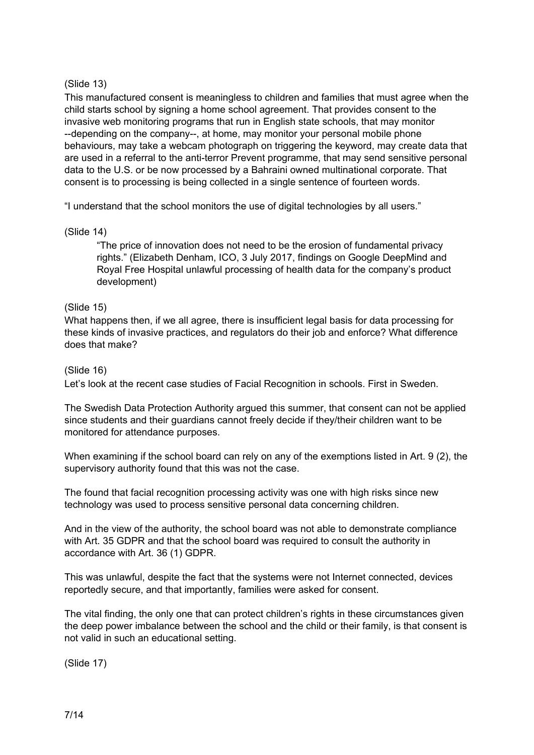# (Slide 13)

This manufactured consent is meaningless to children and families that must agree when the child starts school by signing a home school agreement. That provides consent to the invasive web monitoring programs that run in English state schools, that may monitor --depending on the company--, at home, may monitor your personal mobile phone behaviours, may take a webcam photograph on triggering the keyword, may create data that are used in a referral to the anti-terror Prevent programme, that may send sensitive personal data to the U.S. or be now processed by a Bahraini owned multinational corporate. That consent is to processing is being collected in a single sentence of fourteen words.

"I understand that the school monitors the use of digital technologies by all users."

# (Slide 14)

"The price of innovation does not need to be the erosion of fundamental privacy rights." (Elizabeth Denham, ICO, 3 July 2017, findings on Google DeepMind and Royal Free Hospital unlawful processing of health data for the company's product development)

# (Slide 15)

What happens then, if we all agree, there is insufficient legal basis for data processing for these kinds of invasive practices, and regulators do their job and enforce? What difference does that make?

# (Slide 16)

Let's look at the recent case studies of Facial Recognition in schools. First in Sweden.

The Swedish Data Protection Authority argued this summer, that consent can not be applied since students and their guardians cannot freely decide if they/their children want to be monitored for attendance purposes.

When examining if the school board can rely on any of the exemptions listed in Art. 9 (2), the supervisory authority found that this was not the case.

The found that facial recognition processing activity was one with high risks since new technology was used to process sensitive personal data concerning children.

And in the view of the authority, the school board was not able to demonstrate compliance with Art. 35 GDPR and that the school board was required to consult the authority in accordance with Art. 36 (1) GDPR.

This was unlawful, despite the fact that the systems were not Internet connected, devices reportedly secure, and that importantly, families were asked for consent.

The vital finding, the only one that can protect children's rights in these circumstances given the deep power imbalance between the school and the child or their family, is that consent is not valid in such an educational setting.

(Slide 17)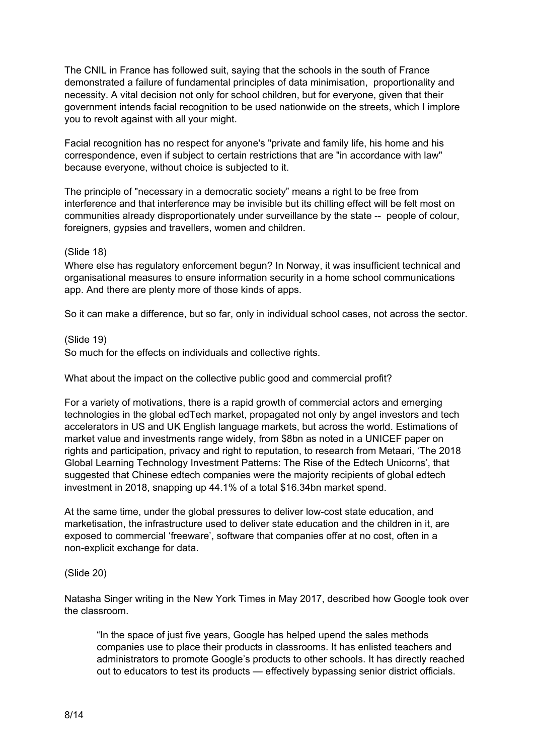The CNIL in France has followed suit, saying that the schools in the south of France demonstrated a failure of fundamental principles of data minimisation, proportionality and necessity. A vital decision not only for school children, but for everyone, given that their government intends facial recognition to be used nationwide on the streets, which I implore you to revolt against with all your might.

Facial recognition has no respect for anyone's "private and family life, his home and his correspondence, even if subject to certain restrictions that are "in accordance with law" because everyone, without choice is subjected to it.

The principle of "necessary in a democratic society" means a right to be free from interference and that interference may be invisible but its chilling effect will be felt most on communities already disproportionately under surveillance by the state -- people of colour, foreigners, gypsies and travellers, women and children.

### (Slide 18)

Where else has regulatory enforcement begun? In Norway, it was insufficient technical and organisational measures to ensure information security in a home school communications app. And there are plenty more of those kinds of apps.

So it can make a difference, but so far, only in individual school cases, not across the sector.

(Slide 19)

So much for the effects on individuals and collective rights.

What about the impact on the collective public good and commercial profit?

For a variety of motivations, there is a rapid growth of commercial actors and emerging technologies in the global edTech market, propagated not only by angel investors and tech accelerators in US and UK English language markets, but across the world. Estimations of market value and investments range widely, from \$8bn as noted in a UNICEF paper on rights and participation, privacy and right to reputation, to research from Metaari, 'The 2018 Global Learning Technology Investment Patterns: The Rise of the Edtech Unicorns', that suggested that Chinese edtech companies were the majority recipients of global edtech investment in 2018, snapping up 44.1% of a total \$16.34bn market spend.

At the same time, under the global pressures to deliver low-cost state education, and marketisation, the infrastructure used to deliver state education and the children in it, are exposed to commercial 'freeware', software that companies offer at no cost, often in a non-explicit exchange for data.

### (Slide 20)

Natasha Singer writing in the New York Times in May 2017, described how Google took over the classroom.

"In the space of just five years, Google has helped upend the sales methods companies use to place their products in classrooms. It has enlisted teachers and administrators to promote Google's products to other schools. It has directly reached out to educators to test its products — effectively bypassing senior district officials.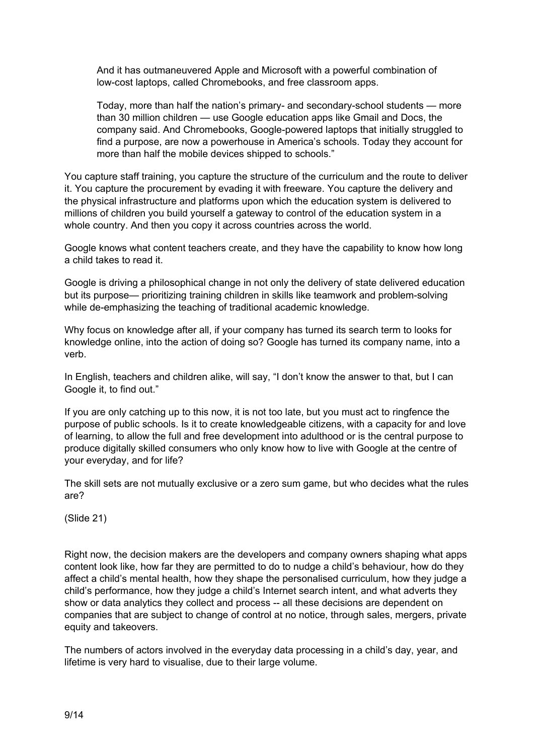And it has outmaneuvered Apple and Microsoft with a powerful combination of low-cost laptops, called Chromebooks, and free classroom apps.

Today, more than half the nation's primary- and secondary-school students — more than 30 million children — use Google education apps like Gmail and Docs, the company said. And Chromebooks, Google-powered laptops that initially struggled to find a purpose, are now a powerhouse in America's schools. Today they account for more than half the mobile devices shipped to schools."

You capture staff training, you capture the structure of the curriculum and the route to deliver it. You capture the procurement by evading it with freeware. You capture the delivery and the physical infrastructure and platforms upon which the education system is delivered to millions of children you build yourself a gateway to control of the education system in a whole country. And then you copy it across countries across the world.

Google knows what content teachers create, and they have the capability to know how long a child takes to read it.

Google is driving a philosophical change in not only the delivery of state delivered education but its purpose— prioritizing training children in skills like teamwork and problem-solving while de-emphasizing the teaching of traditional academic knowledge.

Why focus on knowledge after all, if your company has turned its search term to looks for knowledge online, into the action of doing so? Google has turned its company name, into a verb.

In English, teachers and children alike, will say, "I don't know the answer to that, but I can Google it, to find out."

If you are only catching up to this now, it is not too late, but you must act to ringfence the purpose of public schools. Is it to create knowledgeable citizens, with a capacity for and love of learning, to allow the full and free development into adulthood or is the central purpose to produce digitally skilled consumers who only know how to live with Google at the centre of your everyday, and for life?

The skill sets are not mutually exclusive or a zero sum game, but who decides what the rules are?

(Slide 21)

Right now, the decision makers are the developers and company owners shaping what apps content look like, how far they are permitted to do to nudge a child's behaviour, how do they affect a child's mental health, how they shape the personalised curriculum, how they judge a child's performance, how they judge a child's Internet search intent, and what adverts they show or data analytics they collect and process -- all these decisions are dependent on companies that are subject to change of control at no notice, through sales, mergers, private equity and takeovers.

The numbers of actors involved in the everyday data processing in a child's day, year, and lifetime is very hard to visualise, due to their large volume.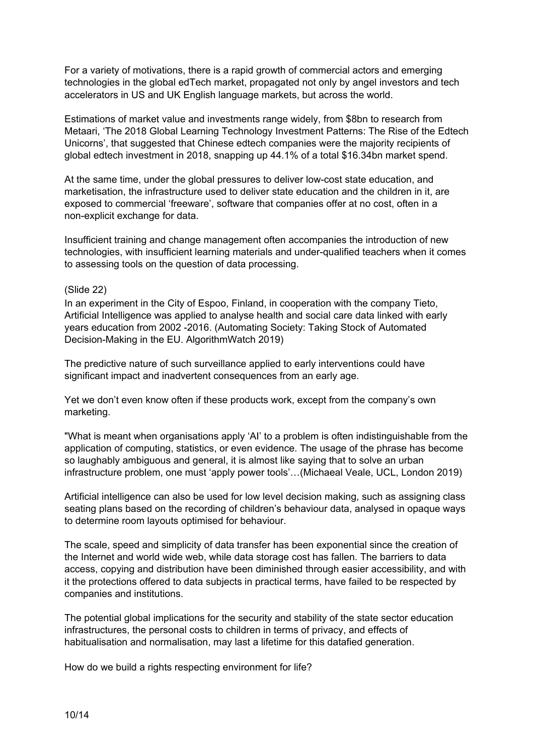For a variety of motivations, there is a rapid growth of commercial actors and emerging technologies in the global edTech market, propagated not only by angel investors and tech accelerators in US and UK English language markets, but across the world.

Estimations of market value and investments range widely, from \$8bn to research from Metaari, 'The 2018 Global Learning Technology Investment Patterns: The Rise of the Edtech Unicorns', that suggested that Chinese edtech companies were the majority recipients of global edtech investment in 2018, snapping up 44.1% of a total \$16.34bn market spend.

At the same time, under the global pressures to deliver low-cost state education, and marketisation, the infrastructure used to deliver state education and the children in it, are exposed to commercial 'freeware', software that companies offer at no cost, often in a non-explicit exchange for data.

Insufficient training and change management often accompanies the introduction of new technologies, with insufficient learning materials and under-qualified teachers when it comes to assessing tools on the question of data processing.

### (Slide 22)

In an experiment in the City of Espoo, Finland, in cooperation with the company Tieto, Artificial Intelligence was applied to analyse health and social care data linked with early years education from 2002 -2016. (Automating Society: Taking Stock of Automated Decision-Making in the EU. AlgorithmWatch 2019)

The predictive nature of such surveillance applied to early interventions could have significant impact and inadvertent consequences from an early age.

Yet we don't even know often if these products work, except from the company's own marketing.

"What is meant when organisations apply 'AI' to a problem is often indistinguishable from the application of computing, statistics, or even evidence. The usage of the phrase has become so laughably ambiguous and general, it is almost like saying that to solve an urban infrastructure problem, one must 'apply power tools'…(Michaeal Veale, UCL, London 2019)

Artificial intelligence can also be used for low level decision making, such as assigning class seating plans based on the recording of children's behaviour data, analysed in opaque ways to determine room layouts optimised for behaviour.

The scale, speed and simplicity of data transfer has been exponential since the creation of the Internet and world wide web, while data storage cost has fallen. The barriers to data access, copying and distribution have been diminished through easier accessibility, and with it the protections offered to data subjects in practical terms, have failed to be respected by companies and institutions.

The potential global implications for the security and stability of the state sector education infrastructures, the personal costs to children in terms of privacy, and effects of habitualisation and normalisation, may last a lifetime for this datafied generation.

How do we build a rights respecting environment for life?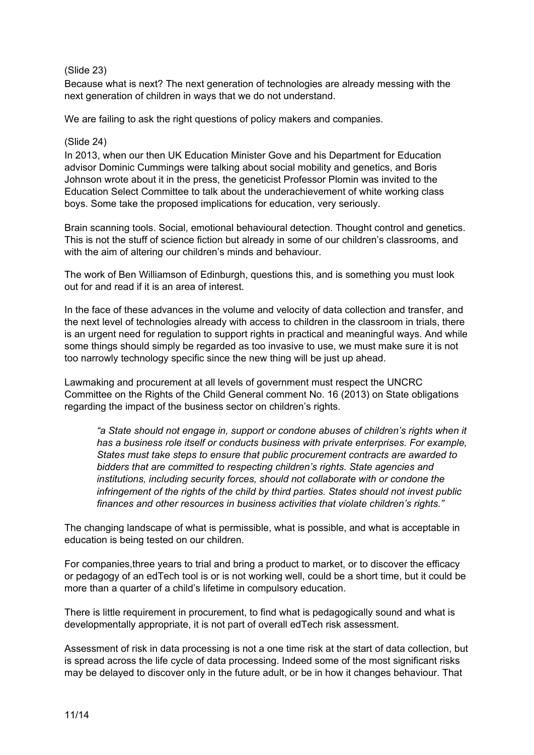## (Slide 23)

Because what is next? The next generation of technologies are already messing with the next generation of children in ways that we do not understand.

We are failing to ask the right questions of policy makers and companies.

## (Slide 24)

In 2013, when our then UK Education Minister Gove and his Department for Education advisor Dominic Cummings were talking about social mobility and genetics, and Boris Johnson wrote about it in the press, the geneticist Professor Plomin was invited to the Education Select Committee to talk about the underachievement of white working class boys. Some take the proposed implications for education, very seriously.

Brain scanning tools. Social, emotional behavioural detection. Thought control and genetics. This is not the stuff of science fiction but already in some of our children's classrooms, and with the aim of altering our children's minds and behaviour.

The work of Ben Williamson of Edinburgh, questions this, and is something you must look out for and read if it is an area of interest.

In the face of these advances in the volume and velocity of data collection and transfer, and the next level of technologies already with access to children in the classroom in trials, there is an urgent need for regulation to support rights in practical and meaningful ways. And while some things should simply be regarded as too invasive to use, we must make sure it is not too narrowly technology specific since the new thing will be just up ahead.

Lawmaking and procurement at all levels of government must respect the UNCRC Committee on the Rights of the Child General comment No. 16 (2013) on State obligations regarding the impact of the business sector on children's rights.

*"a State should not engage in, support or condone abuses of children's rights when it has a business role itself or conducts business with private enterprises. For example, States must take steps to ensure that public procurement contracts are awarded to bidders that are committed to respecting children's rights. State agencies and institutions, including security forces, should not collaborate with or condone the infringement of the rights of the child by third parties. States should not invest public finances and other resources in business activities that violate children's rights."*

The changing landscape of what is permissible, what is possible, and what is acceptable in education is being tested on our children.

For companies,three years to trial and bring a product to market, or to discover the efficacy or pedagogy of an edTech tool is or is not working well, could be a short time, but it could be more than a quarter of a child's lifetime in compulsory education.

There is little requirement in procurement, to find what is pedagogically sound and what is developmentally appropriate, it is not part of overall edTech risk assessment.

Assessment of risk in data processing is not a one time risk at the start of data collection, but is spread across the life cycle of data processing. Indeed some of the most significant risks may be delayed to discover only in the future adult, or be in how it changes behaviour. That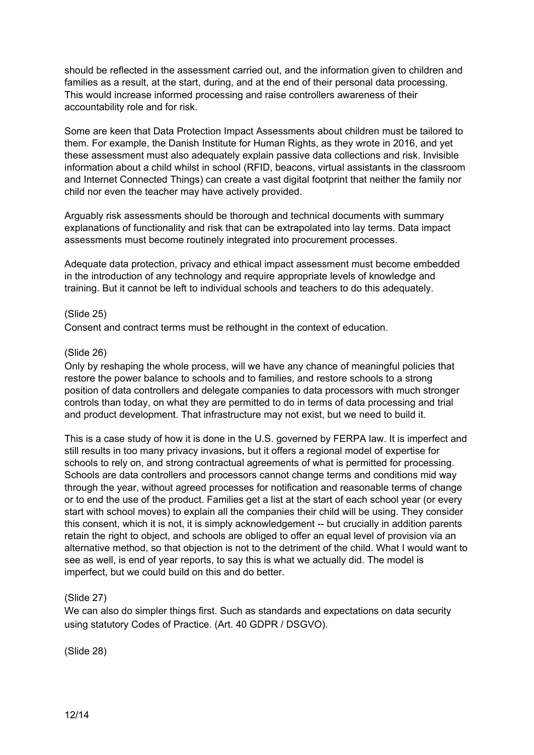should be reflected in the assessment carried out, and the information given to children and families as a result, at the start, during, and at the end of their personal data processing. This would increase informed processing and raise controllers awareness of their accountability role and for risk.

Some are keen that Data Protection Impact Assessments about children must be tailored to them. For example, the Danish Institute for Human Rights, as they wrote in 2016, and yet these assessment must also adequately explain passive data collections and risk. Invisible information about a child whilst in school (RFID, beacons, virtual assistants in the classroom and Internet Connected Things) can create a vast digital footprint that neither the family nor child nor even the teacher may have actively provided.

Arguably risk assessments should be thorough and technical documents with summary explanations of functionality and risk that can be extrapolated into lay terms. Data impact assessments must become routinely integrated into procurement processes.

Adequate data protection, privacy and ethical impact assessment must become embedded in the introduction of any technology and require appropriate levels of knowledge and training. But it cannot be left to individual schools and teachers to do this adequately.

### (Slide 25)

Consent and contract terms must be rethought in the context of education.

### (Slide 26)

Only by reshaping the whole process, will we have any chance of meaningful policies that restore the power balance to schools and to families, and restore schools to a strong position of data controllers and delegate companies to data processors with much stronger controls than today, on what they are permitted to do in terms of data processing and trial and product development. That infrastructure may not exist, but we need to build it.

This is a case study of how it is done in the U.S. governed by FERPA law. It is imperfect and still results in too many privacy invasions, but it offers a regional model of expertise for schools to rely on, and strong contractual agreements of what is permitted for processing. Schools are data controllers and processors cannot change terms and conditions mid way through the year, without agreed processes for notification and reasonable terms of change or to end the use of the product. Families get a list at the start of each school year (or every start with school moves) to explain all the companies their child will be using. They consider this consent, which it is not, it is simply acknowledgement -- but crucially in addition parents retain the right to object, and schools are obliged to offer an equal level of provision via an alternative method, so that objection is not to the detriment of the child. What I would want to see as well, is end of year reports, to say this is what we actually did. The model is imperfect, but we could build on this and do better.

### (Slide 27)

We can also do simpler things first. Such as standards and expectations on data security using statutory Codes of Practice. (Art. 40 GDPR / DSGVO).

(Slide 28)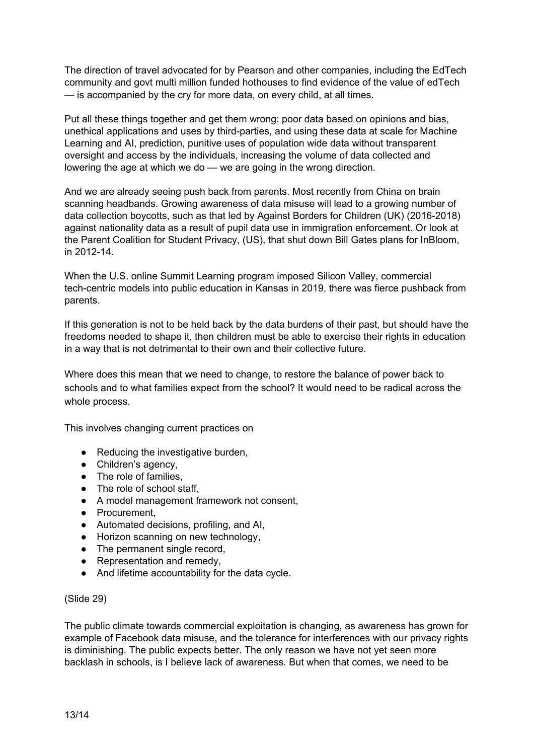The direction of travel advocated for by Pearson and other companies, including the EdTech community and govt multi million funded hothouses to find evidence of the value of edTech — is accompanied by the cry for more data, on every child, at all times.

Put all these things together and get them wrong: poor data based on opinions and bias, unethical applications and uses by third-parties, and using these data at scale for Machine Learning and AI, prediction, punitive uses of population wide data without transparent oversight and access by the individuals, increasing the volume of data collected and lowering the age at which we do — we are going in the wrong direction.

And we are already seeing push back from parents. Most recently from China on brain scanning headbands. Growing awareness of data misuse will lead to a growing number of data collection boycotts, such as that led by Against Borders for Children (UK) (2016-2018) against nationality data as a result of pupil data use in immigration enforcement. Or look at the Parent Coalition for Student Privacy, (US), that shut down Bill Gates plans for InBloom, in 2012-14.

When the U.S. online Summit Learning program imposed Silicon Valley, commercial tech-centric models into public education in Kansas in 2019, there was fierce pushback from parents.

If this generation is not to be held back by the data burdens of their past, but should have the freedoms needed to shape it, then children must be able to exercise their rights in education in a way that is not detrimental to their own and their collective future.

Where does this mean that we need to change, to restore the balance of power back to schools and to what families expect from the school? It would need to be radical across the whole process.

This involves changing current practices on

- Reducing the investigative burden,
- Children's agency,
- The role of families,
- The role of school staff,
- A model management framework not consent,
- Procurement,
- Automated decisions, profiling, and AI,
- Horizon scanning on new technology,
- The permanent single record,
- Representation and remedy,
- And lifetime accountability for the data cycle.

#### (Slide 29)

The public climate towards commercial exploitation is changing, as awareness has grown for example of Facebook data misuse, and the tolerance for interferences with our privacy rights is diminishing. The public expects better. The only reason we have not yet seen more backlash in schools, is I believe lack of awareness. But when that comes, we need to be